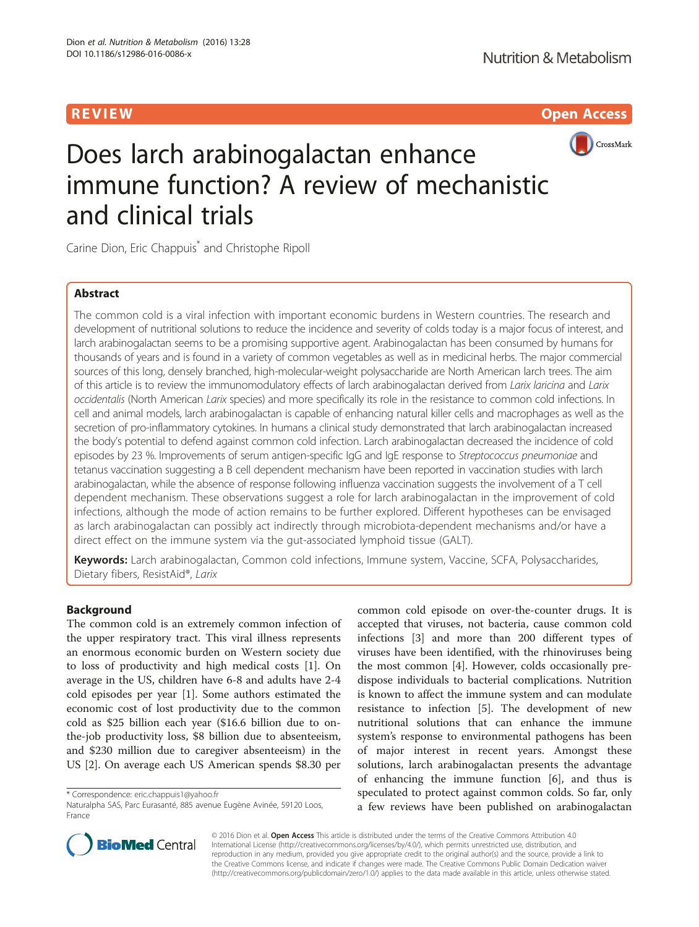R EVI EW Open Access



# Does larch arabinogalactan enhance immune function? A review of mechanistic and clinical trials

Carine Dion, Eric Chappuis<sup>\*</sup> and Christophe Ripoll

# Abstract

The common cold is a viral infection with important economic burdens in Western countries. The research and development of nutritional solutions to reduce the incidence and severity of colds today is a major focus of interest, and larch arabinogalactan seems to be a promising supportive agent. Arabinogalactan has been consumed by humans for thousands of years and is found in a variety of common vegetables as well as in medicinal herbs. The major commercial sources of this long, densely branched, high-molecular-weight polysaccharide are North American larch trees. The aim of this article is to review the immunomodulatory effects of larch arabinogalactan derived from Larix laricina and Larix occidentalis (North American Larix species) and more specifically its role in the resistance to common cold infections. In cell and animal models, larch arabinogalactan is capable of enhancing natural killer cells and macrophages as well as the secretion of pro-inflammatory cytokines. In humans a clinical study demonstrated that larch arabinogalactan increased the body's potential to defend against common cold infection. Larch arabinogalactan decreased the incidence of cold episodes by 23 %. Improvements of serum antigen-specific IgG and IgE response to Streptococcus pneumoniae and tetanus vaccination suggesting a B cell dependent mechanism have been reported in vaccination studies with larch arabinogalactan, while the absence of response following influenza vaccination suggests the involvement of a T cell dependent mechanism. These observations suggest a role for larch arabinogalactan in the improvement of cold infections, although the mode of action remains to be further explored. Different hypotheses can be envisaged as larch arabinogalactan can possibly act indirectly through microbiota-dependent mechanisms and/or have a direct effect on the immune system via the gut-associated lymphoid tissue (GALT).

Keywords: Larch arabinogalactan, Common cold infections, Immune system, Vaccine, SCFA, Polysaccharides, Dietary fibers, ResistAid®, Larix

# Background

The common cold is an extremely common infection of the upper respiratory tract. This viral illness represents an enormous economic burden on Western society due to loss of productivity and high medical costs [[1\]](#page-9-0). On average in the US, children have 6-8 and adults have 2-4 cold episodes per year [\[1](#page-9-0)]. Some authors estimated the economic cost of lost productivity due to the common cold as \$25 billion each year (\$16.6 billion due to onthe-job productivity loss, \$8 billion due to absenteeism, and \$230 million due to caregiver absenteeism) in the US [[2](#page-9-0)]. On average each US American spends \$8.30 per

\* Correspondence: [eric.chappuis1@yahoo.fr](mailto:eric.chappuis1@yahoo.fr)

common cold episode on over-the-counter drugs. It is accepted that viruses, not bacteria, cause common cold infections [[3\]](#page-9-0) and more than 200 different types of viruses have been identified, with the rhinoviruses being the most common [\[4](#page-9-0)]. However, colds occasionally predispose individuals to bacterial complications. Nutrition is known to affect the immune system and can modulate resistance to infection [\[5](#page-9-0)]. The development of new nutritional solutions that can enhance the immune system's response to environmental pathogens has been of major interest in recent years. Amongst these solutions, larch arabinogalactan presents the advantage of enhancing the immune function [[6](#page-9-0)], and thus is speculated to protect against common colds. So far, only a few reviews have been published on arabinogalactan



© 2016 Dion et al. Open Access This article is distributed under the terms of the Creative Commons Attribution 4.0 International License [\(http://creativecommons.org/licenses/by/4.0/](http://creativecommons.org/licenses/by/4.0/)), which permits unrestricted use, distribution, and reproduction in any medium, provided you give appropriate credit to the original author(s) and the source, provide a link to the Creative Commons license, and indicate if changes were made. The Creative Commons Public Domain Dedication waiver [\(http://creativecommons.org/publicdomain/zero/1.0/](http://creativecommons.org/publicdomain/zero/1.0/)) applies to the data made available in this article, unless otherwise stated.

Naturalpha SAS, Parc Eurasanté, 885 avenue Eugène Avinée, 59120 Loos, France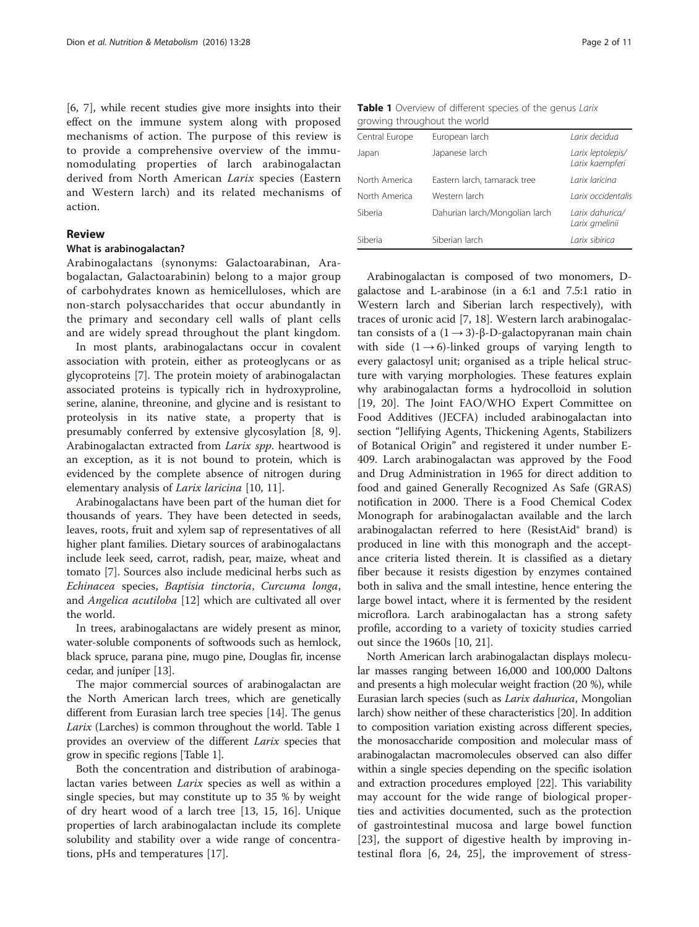[[6, 7](#page-9-0)], while recent studies give more insights into their effect on the immune system along with proposed mechanisms of action. The purpose of this review is to provide a comprehensive overview of the immunomodulating properties of larch arabinogalactan derived from North American Larix species (Eastern and Western larch) and its related mechanisms of action.

# Review

## What is arabinogalactan?

Arabinogalactans (synonyms: Galactoarabinan, Arabogalactan, Galactoarabinin) belong to a major group of carbohydrates known as hemicelluloses, which are non-starch polysaccharides that occur abundantly in the primary and secondary cell walls of plant cells and are widely spread throughout the plant kingdom.

In most plants, arabinogalactans occur in covalent association with protein, either as proteoglycans or as glycoproteins [[7\]](#page-9-0). The protein moiety of arabinogalactan associated proteins is typically rich in hydroxyproline, serine, alanine, threonine, and glycine and is resistant to proteolysis in its native state, a property that is presumably conferred by extensive glycosylation [[8, 9](#page-9-0)]. Arabinogalactan extracted from Larix spp. heartwood is an exception, as it is not bound to protein, which is evidenced by the complete absence of nitrogen during elementary analysis of Larix laricina [\[10](#page-9-0), [11](#page-9-0)].

Arabinogalactans have been part of the human diet for thousands of years. They have been detected in seeds, leaves, roots, fruit and xylem sap of representatives of all higher plant families. Dietary sources of arabinogalactans include leek seed, carrot, radish, pear, maize, wheat and tomato [\[7](#page-9-0)]. Sources also include medicinal herbs such as Echinacea species, Baptisia tinctoria, Curcuma longa, and Angelica acutiloba [\[12](#page-9-0)] which are cultivated all over the world.

In trees, arabinogalactans are widely present as minor, water-soluble components of softwoods such as hemlock, black spruce, parana pine, mugo pine, Douglas fir, incense cedar, and juniper [[13](#page-9-0)].

The major commercial sources of arabinogalactan are the North American larch trees, which are genetically different from Eurasian larch tree species [\[14\]](#page-9-0). The genus Larix (Larches) is common throughout the world. Table 1 provides an overview of the different Larix species that grow in specific regions [Table 1].

Both the concentration and distribution of arabinogalactan varies between *Larix* species as well as within a single species, but may constitute up to 35 % by weight of dry heart wood of a larch tree [\[13, 15](#page-9-0), [16\]](#page-9-0). Unique properties of larch arabinogalactan include its complete solubility and stability over a wide range of concentrations, pHs and temperatures [\[17](#page-9-0)].

Table 1 Overview of different species of the genus Larix growing throughout the world

| Central Europe | European larch                 | Larix decidua                        |  |  |  |  |
|----------------|--------------------------------|--------------------------------------|--|--|--|--|
| Japan          | Japanese larch                 | Larix leptolepis/<br>Larix kaempferi |  |  |  |  |
| North America  | Eastern larch, tamarack tree   | Larix laricina                       |  |  |  |  |
| North America  | Western larch                  | Larix occidentalis                   |  |  |  |  |
| Siberia        | Dahurian larch/Mongolian larch | Larix dahurica/<br>Larix gmelinii    |  |  |  |  |
| Siberia        | Siberian larch                 | Larix sibirica                       |  |  |  |  |

Arabinogalactan is composed of two monomers, Dgalactose and L-arabinose (in a 6:1 and 7.5:1 ratio in Western larch and Siberian larch respectively), with traces of uronic acid [[7, 18\]](#page-9-0). Western larch arabinogalactan consists of a  $(1 \rightarrow 3)$ -β-D-galactopyranan main chain with side  $(1 \rightarrow 6)$ -linked groups of varying length to every galactosyl unit; organised as a triple helical structure with varying morphologies. These features explain why arabinogalactan forms a hydrocolloid in solution [[19, 20\]](#page-9-0). The Joint FAO/WHO Expert Committee on Food Additives (JECFA) included arabinogalactan into section "Jellifying Agents, Thickening Agents, Stabilizers of Botanical Origin" and registered it under number E-409. Larch arabinogalactan was approved by the Food and Drug Administration in 1965 for direct addition to food and gained Generally Recognized As Safe (GRAS) notification in 2000. There is a Food Chemical Codex Monograph for arabinogalactan available and the larch arabinogalactan referred to here (ResistAid® brand) is produced in line with this monograph and the acceptance criteria listed therein. It is classified as a dietary fiber because it resists digestion by enzymes contained both in saliva and the small intestine, hence entering the large bowel intact, where it is fermented by the resident microflora. Larch arabinogalactan has a strong safety profile, according to a variety of toxicity studies carried out since the 1960s [\[10](#page-9-0), [21\]](#page-9-0).

North American larch arabinogalactan displays molecular masses ranging between 16,000 and 100,000 Daltons and presents a high molecular weight fraction (20 %), while Eurasian larch species (such as Larix dahurica, Mongolian larch) show neither of these characteristics [\[20\]](#page-9-0). In addition to composition variation existing across different species, the monosaccharide composition and molecular mass of arabinogalactan macromolecules observed can also differ within a single species depending on the specific isolation and extraction procedures employed [\[22\]](#page-9-0). This variability may account for the wide range of biological properties and activities documented, such as the protection of gastrointestinal mucosa and large bowel function [[23\]](#page-9-0), the support of digestive health by improving intestinal flora [[6, 24](#page-9-0), [25\]](#page-9-0), the improvement of stress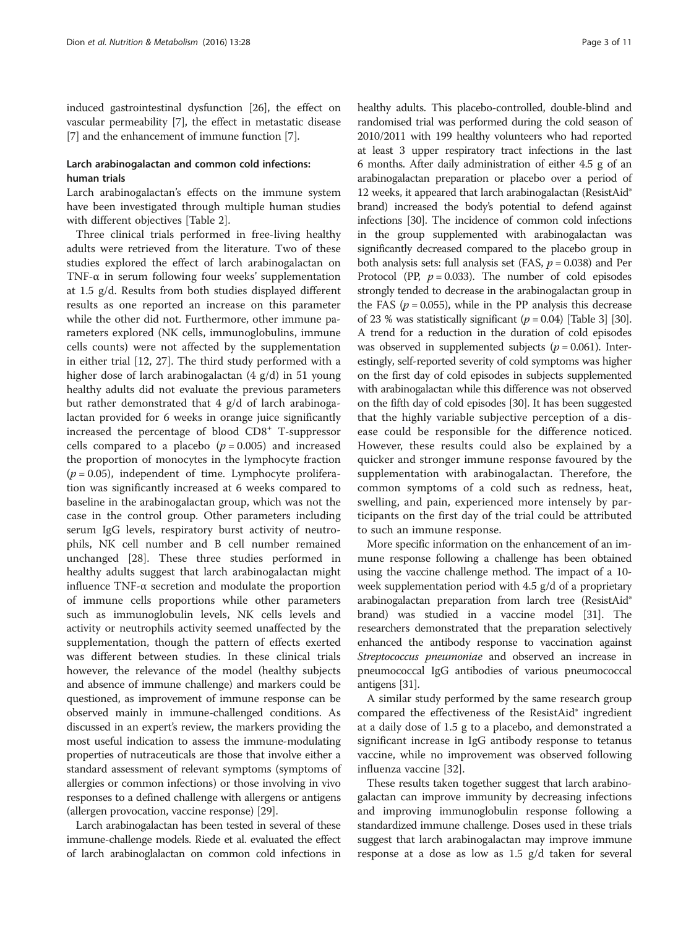induced gastrointestinal dysfunction [\[26\]](#page-9-0), the effect on vascular permeability [[7](#page-9-0)], the effect in metastatic disease [[7\]](#page-9-0) and the enhancement of immune function [\[7](#page-9-0)].

# Larch arabinogalactan and common cold infections: human trials

Larch arabinogalactan's effects on the immune system have been investigated through multiple human studies with different objectives [Table [2](#page-3-0)].

Three clinical trials performed in free-living healthy adults were retrieved from the literature. Two of these studies explored the effect of larch arabinogalactan on TNF- $\alpha$  in serum following four weeks' supplementation at 1.5 g/d. Results from both studies displayed different results as one reported an increase on this parameter while the other did not. Furthermore, other immune parameters explored (NK cells, immunoglobulins, immune cells counts) were not affected by the supplementation in either trial [[12](#page-9-0), [27\]](#page-9-0). The third study performed with a higher dose of larch arabinogalactan (4 g/d) in 51 young healthy adults did not evaluate the previous parameters but rather demonstrated that 4 g/d of larch arabinogalactan provided for 6 weeks in orange juice significantly increased the percentage of blood  $CD8<sup>+</sup>$  T-suppressor cells compared to a placebo  $(p = 0.005)$  and increased the proportion of monocytes in the lymphocyte fraction  $(p = 0.05)$ , independent of time. Lymphocyte proliferation was significantly increased at 6 weeks compared to baseline in the arabinogalactan group, which was not the case in the control group. Other parameters including serum IgG levels, respiratory burst activity of neutrophils, NK cell number and B cell number remained unchanged [\[28](#page-9-0)]. These three studies performed in healthy adults suggest that larch arabinogalactan might influence TNF-α secretion and modulate the proportion of immune cells proportions while other parameters such as immunoglobulin levels, NK cells levels and activity or neutrophils activity seemed unaffected by the supplementation, though the pattern of effects exerted was different between studies. In these clinical trials however, the relevance of the model (healthy subjects and absence of immune challenge) and markers could be questioned, as improvement of immune response can be observed mainly in immune-challenged conditions. As discussed in an expert's review, the markers providing the most useful indication to assess the immune-modulating properties of nutraceuticals are those that involve either a standard assessment of relevant symptoms (symptoms of allergies or common infections) or those involving in vivo responses to a defined challenge with allergens or antigens (allergen provocation, vaccine response) [\[29\]](#page-9-0).

Larch arabinogalactan has been tested in several of these immune-challenge models. Riede et al. evaluated the effect of larch arabinoglalactan on common cold infections in healthy adults. This placebo-controlled, double-blind and randomised trial was performed during the cold season of 2010/2011 with 199 healthy volunteers who had reported at least 3 upper respiratory tract infections in the last 6 months. After daily administration of either 4.5 g of an arabinogalactan preparation or placebo over a period of 12 weeks, it appeared that larch arabinogalactan (ResistAid® brand) increased the body's potential to defend against infections [[30](#page-9-0)]. The incidence of common cold infections in the group supplemented with arabinogalactan was significantly decreased compared to the placebo group in both analysis sets: full analysis set (FAS,  $p = 0.038$ ) and Per Protocol (PP,  $p = 0.033$ ). The number of cold episodes strongly tended to decrease in the arabinogalactan group in the FAS ( $p = 0.055$ ), while in the PP analysis this decrease of 23 % was statistically significant  $(p = 0.04)$  [Table [3\]](#page-5-0) [\[30](#page-9-0)]. A trend for a reduction in the duration of cold episodes was observed in supplemented subjects ( $p = 0.061$ ). Interestingly, self-reported severity of cold symptoms was higher on the first day of cold episodes in subjects supplemented with arabinogalactan while this difference was not observed on the fifth day of cold episodes [\[30](#page-9-0)]. It has been suggested that the highly variable subjective perception of a disease could be responsible for the difference noticed. However, these results could also be explained by a quicker and stronger immune response favoured by the supplementation with arabinogalactan. Therefore, the common symptoms of a cold such as redness, heat, swelling, and pain, experienced more intensely by participants on the first day of the trial could be attributed to such an immune response.

More specific information on the enhancement of an immune response following a challenge has been obtained using the vaccine challenge method. The impact of a 10 week supplementation period with 4.5 g/d of a proprietary arabinogalactan preparation from larch tree (ResistAid® brand) was studied in a vaccine model [\[31](#page-9-0)]. The researchers demonstrated that the preparation selectively enhanced the antibody response to vaccination against Streptococcus pneumoniae and observed an increase in pneumococcal IgG antibodies of various pneumococcal antigens [\[31\]](#page-9-0).

A similar study performed by the same research group compared the effectiveness of the ResistAid® ingredient at a daily dose of 1.5 g to a placebo, and demonstrated a significant increase in IgG antibody response to tetanus vaccine, while no improvement was observed following influenza vaccine [\[32\]](#page-9-0).

These results taken together suggest that larch arabinogalactan can improve immunity by decreasing infections and improving immunoglobulin response following a standardized immune challenge. Doses used in these trials suggest that larch arabinogalactan may improve immune response at a dose as low as 1.5 g/d taken for several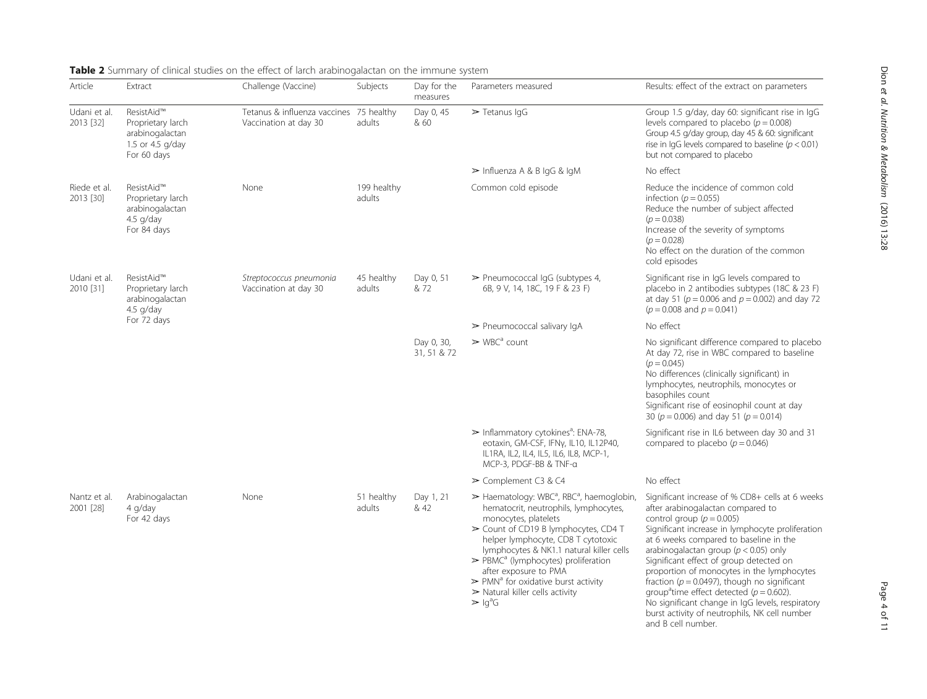| Article                   | Extract                                                                               | Challenge (Vaccine)                                   | Subjects              | Day for the<br>measures   | Parameters measured                                                                                                                                                                                                                                                                                                                                                                                                                                                                                               | Results: effect of the extract on parameters                                                                                                                                                                                                                                                                                                                                                                                                                                                                                                                                   |
|---------------------------|---------------------------------------------------------------------------------------|-------------------------------------------------------|-----------------------|---------------------------|-------------------------------------------------------------------------------------------------------------------------------------------------------------------------------------------------------------------------------------------------------------------------------------------------------------------------------------------------------------------------------------------------------------------------------------------------------------------------------------------------------------------|--------------------------------------------------------------------------------------------------------------------------------------------------------------------------------------------------------------------------------------------------------------------------------------------------------------------------------------------------------------------------------------------------------------------------------------------------------------------------------------------------------------------------------------------------------------------------------|
| Udani et al.<br>2013 [32] | ResistAid™<br>Proprietary larch<br>arabinogalactan<br>1.5 or 4.5 g/day<br>For 60 days | Tetanus & influenza vaccines<br>Vaccination at day 30 | 75 healthy<br>adults  | Day 0, 45<br>& 60         | $\triangleright$ Tetanus IqG                                                                                                                                                                                                                                                                                                                                                                                                                                                                                      | Group 1.5 g/day, day 60: significant rise in IgG<br>levels compared to placebo ( $p = 0.008$ )<br>Group 4.5 g/day group, day 45 & 60: significant<br>rise in IgG levels compared to baseline $(p < 0.01)$<br>but not compared to placebo                                                                                                                                                                                                                                                                                                                                       |
|                           |                                                                                       |                                                       |                       |                           | $\triangleright$ Influenza A & B IgG & IgM                                                                                                                                                                                                                                                                                                                                                                                                                                                                        | No effect                                                                                                                                                                                                                                                                                                                                                                                                                                                                                                                                                                      |
| Riede et al.<br>2013 [30] | ResistAid™<br>Proprietary larch<br>arabinogalactan<br>4.5 g/day<br>For 84 days        | None                                                  | 199 healthy<br>adults |                           | Common cold episode                                                                                                                                                                                                                                                                                                                                                                                                                                                                                               | Reduce the incidence of common cold<br>infection ( $p = 0.055$ )<br>Reduce the number of subject affected<br>$(p = 0.038)$<br>Increase of the severity of symptoms<br>$(p = 0.028)$<br>No effect on the duration of the common<br>cold episodes                                                                                                                                                                                                                                                                                                                                |
| Udani et al.<br>2010 [31] | ResistAid™<br>Proprietary larch<br>arabinogalactan<br>4.5 g/day<br>For 72 days        | Streptococcus pneumonia<br>Vaccination at day 30      | 45 healthy<br>adults  | Day 0, 51<br>& 72         | $\triangleright$ Pneumococcal IgG (subtypes 4,<br>6B, 9 V, 14, 18C, 19 F & 23 F)                                                                                                                                                                                                                                                                                                                                                                                                                                  | Significant rise in IgG levels compared to<br>placebo in 2 antibodies subtypes (18C & 23 F)<br>at day 51 ( $p = 0.006$ and $p = 0.002$ ) and day 72<br>$(p = 0.008$ and $p = 0.041)$                                                                                                                                                                                                                                                                                                                                                                                           |
|                           |                                                                                       |                                                       |                       |                           | $\triangleright$ Pneumococcal salivary IgA                                                                                                                                                                                                                                                                                                                                                                                                                                                                        | No effect                                                                                                                                                                                                                                                                                                                                                                                                                                                                                                                                                                      |
|                           |                                                                                       |                                                       |                       | Day 0, 30,<br>31, 51 & 72 | $\triangleright$ WBC <sup>a</sup> count                                                                                                                                                                                                                                                                                                                                                                                                                                                                           | No significant difference compared to placebo<br>At day 72, rise in WBC compared to baseline<br>$(p = 0.045)$<br>No differences (clinically significant) in<br>lymphocytes, neutrophils, monocytes or<br>basophiles count<br>Significant rise of eosinophil count at day<br>30 ( $p = 0.006$ ) and day 51 ( $p = 0.014$ )                                                                                                                                                                                                                                                      |
|                           |                                                                                       |                                                       |                       |                           | $\triangleright$ Inflammatory cytokines <sup>a</sup> : ENA-78,<br>eotaxin, GM-CSF, IFNy, IL10, IL12P40,<br>IL1RA, IL2, IL4, IL5, IL6, IL8, MCP-1,<br>MCP-3, PDGF-BB & TNF-a                                                                                                                                                                                                                                                                                                                                       | Significant rise in IL6 between day 30 and 31<br>compared to placebo ( $p = 0.046$ )                                                                                                                                                                                                                                                                                                                                                                                                                                                                                           |
|                           |                                                                                       |                                                       |                       |                           | $\geq$ Complement C3 & C4                                                                                                                                                                                                                                                                                                                                                                                                                                                                                         | No effect                                                                                                                                                                                                                                                                                                                                                                                                                                                                                                                                                                      |
| Nantz et al.<br>2001 [28] | Arabinogalactan<br>4 g/day<br>For 42 days                                             | None                                                  | 51 healthy<br>adults  | Day 1, 21<br>& 42         | > Haematology: WBC <sup>a</sup> , RBC <sup>a</sup> , haemoglobin,<br>hematocrit, neutrophils, lymphocytes,<br>monocytes, platelets<br>> Count of CD19 B lymphocytes, CD4 T<br>helper lymphocyte, CD8 T cytotoxic<br>lymphocytes & NK1.1 natural killer cells<br>$\triangleright$ PBMC <sup>a</sup> (lymphocytes) proliferation<br>after exposure to PMA<br>$\triangleright$ PMN <sup>a</sup> for oxidative burst activity<br>$\triangleright$ Natural killer cells activity<br>$\triangleright$ Ig <sup>d</sup> G | Significant increase of % CD8+ cells at 6 weeks<br>after arabinogalactan compared to<br>control group ( $p = 0.005$ )<br>Significant increase in lymphocyte proliferation<br>at 6 weeks compared to baseline in the<br>arabinogalactan group ( $p < 0.05$ ) only<br>Significant effect of group detected on<br>proportion of monocytes in the lymphocytes<br>fraction ( $p = 0.0497$ ), though no significant<br>group <sup>a</sup> time effect detected ( $p = 0.602$ ).<br>No significant change in IgG levels, respiratory<br>burst activity of neutrophils, NK cell number |

<span id="page-3-0"></span>Table 2 Summary of clinical studies on the effect of larch arabinogalactan on the immune system

and B cell number.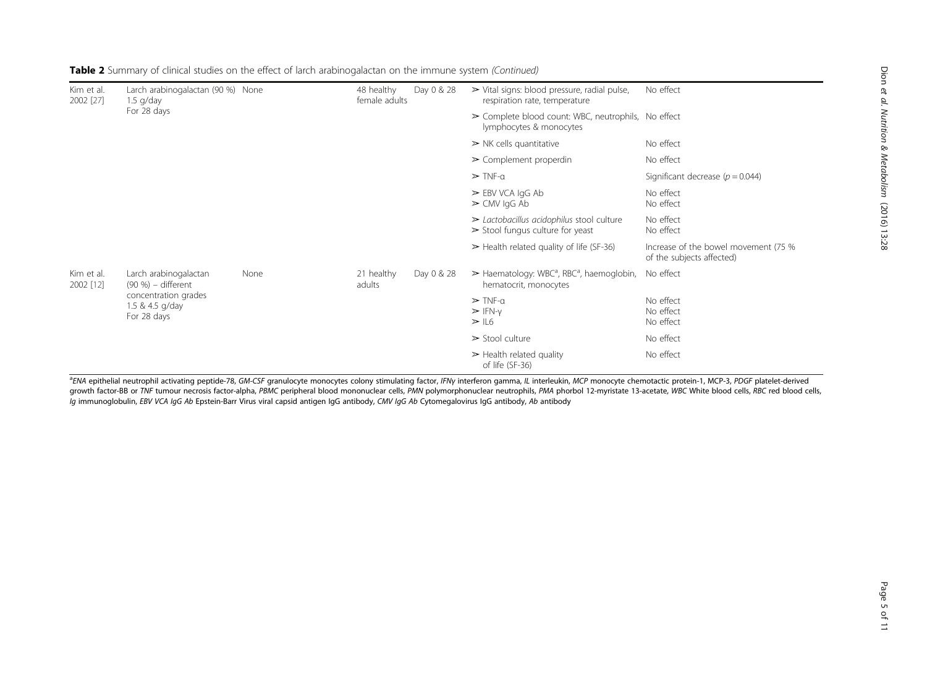| Kim et al.<br>2002 [27] | Larch arabinogalactan (90 %) None<br>$1.5$ g/day<br>For 28 days                                       |      | 48 healthy<br>female adults | Day 0 & 28 | $\triangleright$ Vital signs: blood pressure, radial pulse,<br>respiration rate, temperature                | No effect                                                         |
|-------------------------|-------------------------------------------------------------------------------------------------------|------|-----------------------------|------------|-------------------------------------------------------------------------------------------------------------|-------------------------------------------------------------------|
|                         |                                                                                                       |      |                             |            | $\triangleright$ Complete blood count: WBC, neutrophils, No effect<br>lymphocytes & monocytes               |                                                                   |
|                         |                                                                                                       |      |                             |            | $\triangleright$ NK cells quantitative                                                                      | No effect                                                         |
|                         |                                                                                                       |      |                             |            | $\triangleright$ Complement properdin                                                                       | No effect                                                         |
|                         |                                                                                                       |      |                             |            | $\triangleright$ TNF-a                                                                                      | Significant decrease ( $p = 0.044$ )                              |
|                         |                                                                                                       |      |                             |            | $\triangleright$ EBV VCA IgG Ab<br>$\geq$ CMV IgG Ab                                                        | No effect<br>No effect                                            |
|                         |                                                                                                       |      |                             |            | $\triangleright$ Lactobacillus acidophilus stool culture<br>$\triangleright$ Stool fungus culture for yeast | No effect<br>No effect                                            |
|                         |                                                                                                       |      |                             |            | $\triangleright$ Health related quality of life (SF-36)                                                     | Increase of the bowel movement (75 %<br>of the subjects affected) |
| Kim et al.<br>2002 [12] | Larch arabinogalactan<br>(90 %) – different<br>concentration grades<br>1.5 & 4.5 g/day<br>For 28 days | None | 21 healthy<br>adults        | Day 0 & 28 | $\triangleright$ Haematology: WBC <sup>a</sup> , RBC <sup>a</sup> , haemoglobin,<br>hematocrit, monocytes   | No effect                                                         |
|                         |                                                                                                       |      |                             |            | $\triangleright$ TNF-a<br>$>$ IFN- $v$<br>> 16                                                              | No effect<br>No effect<br>No effect                               |
|                         |                                                                                                       |      |                             |            | $\ge$ Stool culture                                                                                         | No effect                                                         |
|                         |                                                                                                       |      |                             |            | $\triangleright$ Health related quality<br>of life (SF-36)                                                  | No effect                                                         |

Table 2 Summary of clinical studies on the effect of larch arabinogalactan on the immune system (Continued)

<sup>a</sup>ENA epithelial neutrophil activating peptide-78, GM-CSF granulocyte monocytes colony stimulating factor, IFNγ interferon gamma, IL interleukin, MCP monocyte chemotactic protein-1, MCP-3, PDGF platelet-derived<br>growth fac growth factor-BB or TNF tumour necrosis factor-alpha, PBMC peripheral blood mononuclear cells, PMN polymorphonuclear neutrophils, PMA phorbol 12-myristate 13-acetate, WBC White blood cells, RBC red blood cells, Ig immunoglobulin, EBV VCA IgG Ab Epstein-Barr Virus viral capsid antigen IgG antibody, CMV IgG Ab Cytomegalovirus IgG antibody, Ab antibody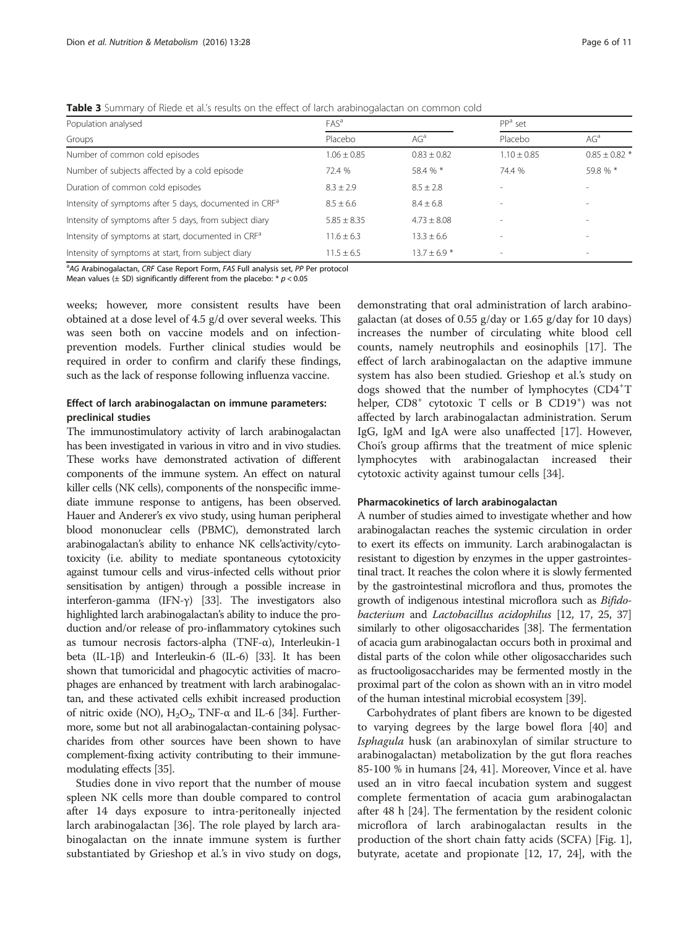<span id="page-5-0"></span>Table 3 Summary of Riede et al.'s results on the effect of larch arabinogalactan on common cold

| Population analysed                                                | FAS <sup>a</sup> |                 | $PPa$ set                |                              |
|--------------------------------------------------------------------|------------------|-----------------|--------------------------|------------------------------|
| Groups                                                             | Placebo          | AG <sup>a</sup> | Placebo                  | AG <sup>a</sup>              |
| Number of common cold episodes                                     | $1.06 + 0.85$    | $0.83 + 0.82$   | $1.10 \pm 0.85$          | $0.85 \pm 0.82$ <sup>+</sup> |
| Number of subjects affected by a cold episode                      | 72.4 %           | 58.4 % *        | 74.4 %                   | 59.8 % *                     |
| Duration of common cold episodes                                   | $8.3 + 2.9$      | $8.5 + 2.8$     | $\overline{\phantom{a}}$ |                              |
| Intensity of symptoms after 5 days, documented in CRF <sup>a</sup> | $8.5 \pm 6.6$    | $8.4 + 6.8$     | ۰                        | $\overline{\phantom{a}}$     |
| Intensity of symptoms after 5 days, from subject diary             | $5.85 \pm 8.35$  | $4.73 \pm 8.08$ | ۰                        | $\overline{\phantom{a}}$     |
| Intensity of symptoms at start, documented in CRF <sup>a</sup>     | $11.6 + 6.3$     | $13.3 + 6.6$    | $\sim$                   |                              |
| Intensity of symptoms at start, from subject diary                 | $11.5 + 6.5$     | $13.7 + 6.9$ *  | $\sim$                   |                              |
|                                                                    |                  |                 |                          |                              |

<sup>a</sup> AG Arabinogalactan, CRF Case Report Form, FAS Full analysis set, PP Per protocol<br>Mean values (+ SD) significantly different from the placebo: \* p < 0.05

Mean values ( $\pm$  SD) significantly different from the placebo:  $* p < 0.05$ 

weeks; however, more consistent results have been obtained at a dose level of 4.5 g/d over several weeks. This was seen both on vaccine models and on infectionprevention models. Further clinical studies would be required in order to confirm and clarify these findings, such as the lack of response following influenza vaccine.

# Effect of larch arabinogalactan on immune parameters: preclinical studies

The immunostimulatory activity of larch arabinogalactan has been investigated in various in vitro and in vivo studies. These works have demonstrated activation of different components of the immune system. An effect on natural killer cells (NK cells), components of the nonspecific immediate immune response to antigens, has been observed. Hauer and Anderer's ex vivo study, using human peripheral blood mononuclear cells (PBMC), demonstrated larch arabinogalactan's ability to enhance NK cells'activity/cytotoxicity (i.e. ability to mediate spontaneous cytotoxicity against tumour cells and virus-infected cells without prior sensitisation by antigen) through a possible increase in interferon-gamma (IFN-γ) [[33](#page-9-0)]. The investigators also highlighted larch arabinogalactan's ability to induce the production and/or release of pro-inflammatory cytokines such as tumour necrosis factors-alpha (TNF-α), Interleukin-1 beta (IL-1β) and Interleukin-6 (IL-6) [[33](#page-9-0)]. It has been shown that tumoricidal and phagocytic activities of macrophages are enhanced by treatment with larch arabinogalactan, and these activated cells exhibit increased production of nitric oxide (NO),  $H_2O_2$ , TNF- $\alpha$  and IL-6 [\[34\]](#page-9-0). Furthermore, some but not all arabinogalactan-containing polysaccharides from other sources have been shown to have complement-fixing activity contributing to their immunemodulating effects [\[35\]](#page-9-0).

Studies done in vivo report that the number of mouse spleen NK cells more than double compared to control after 14 days exposure to intra-peritoneally injected larch arabinogalactan [\[36\]](#page-9-0). The role played by larch arabinogalactan on the innate immune system is further substantiated by Grieshop et al.'s in vivo study on dogs,

demonstrating that oral administration of larch arabinogalactan (at doses of 0.55 g/day or 1.65 g/day for 10 days) increases the number of circulating white blood cell counts, namely neutrophils and eosinophils [[17\]](#page-9-0). The effect of larch arabinogalactan on the adaptive immune system has also been studied. Grieshop et al.'s study on dogs showed that the number of lymphocytes (CD4<sup>+</sup>T helper, CD8<sup>+</sup> cytotoxic T cells or B CD19<sup>+</sup>) was not affected by larch arabinogalactan administration. Serum IgG, IgM and IgA were also unaffected [[17\]](#page-9-0). However, Choi's group affirms that the treatment of mice splenic lymphocytes with arabinogalactan increased their cytotoxic activity against tumour cells [[34\]](#page-9-0).

#### Pharmacokinetics of larch arabinogalactan

A number of studies aimed to investigate whether and how arabinogalactan reaches the systemic circulation in order to exert its effects on immunity. Larch arabinogalactan is resistant to digestion by enzymes in the upper gastrointestinal tract. It reaches the colon where it is slowly fermented by the gastrointestinal microflora and thus, promotes the growth of indigenous intestinal microflora such as Bifidobacterium and Lactobacillus acidophilus [[12](#page-9-0), [17](#page-9-0), [25](#page-9-0), [37](#page-9-0)] similarly to other oligosaccharides [\[38\]](#page-9-0). The fermentation of acacia gum arabinogalactan occurs both in proximal and distal parts of the colon while other oligosaccharides such as fructooligosaccharides may be fermented mostly in the proximal part of the colon as shown with an in vitro model of the human intestinal microbial ecosystem [\[39\]](#page-9-0).

Carbohydrates of plant fibers are known to be digested to varying degrees by the large bowel flora [\[40\]](#page-9-0) and Isphagula husk (an arabinoxylan of similar structure to arabinogalactan) metabolization by the gut flora reaches 85-100 % in humans [[24, 41](#page-9-0)]. Moreover, Vince et al. have used an in vitro faecal incubation system and suggest complete fermentation of acacia gum arabinogalactan after 48 h [[24\]](#page-9-0). The fermentation by the resident colonic microflora of larch arabinogalactan results in the production of the short chain fatty acids (SCFA) [Fig. [1](#page-6-0)], butyrate, acetate and propionate [\[12, 17, 24](#page-9-0)], with the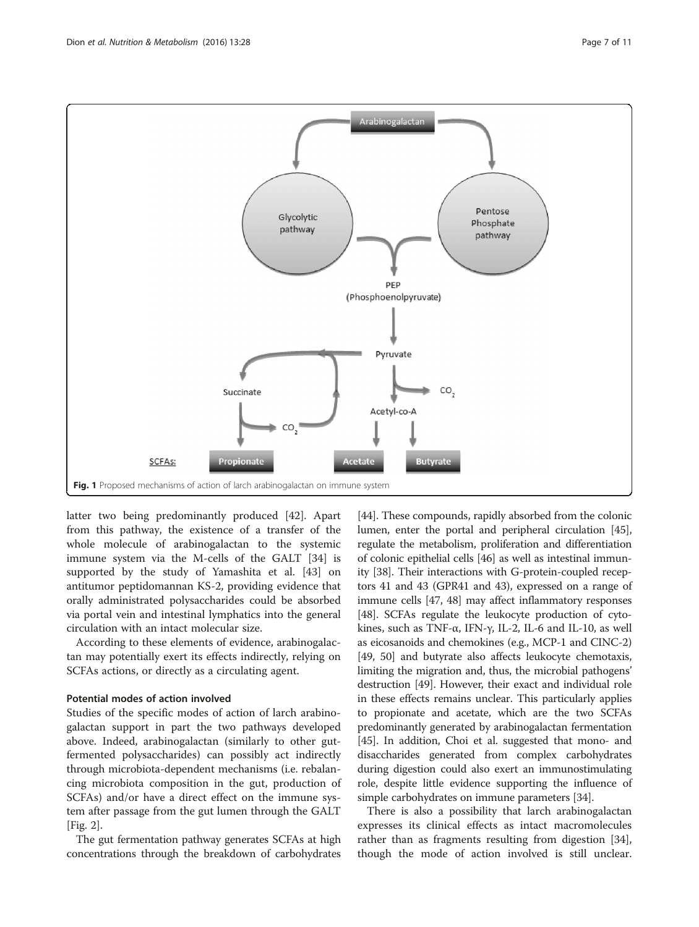<span id="page-6-0"></span>

latter two being predominantly produced [\[42\]](#page-9-0). Apart from this pathway, the existence of a transfer of the whole molecule of arabinogalactan to the systemic immune system via the M-cells of the GALT [[34\]](#page-9-0) is supported by the study of Yamashita et al. [[43\]](#page-9-0) on antitumor peptidomannan KS-2, providing evidence that orally administrated polysaccharides could be absorbed via portal vein and intestinal lymphatics into the general circulation with an intact molecular size.

According to these elements of evidence, arabinogalactan may potentially exert its effects indirectly, relying on SCFAs actions, or directly as a circulating agent.

# Potential modes of action involved

Studies of the specific modes of action of larch arabinogalactan support in part the two pathways developed above. Indeed, arabinogalactan (similarly to other gutfermented polysaccharides) can possibly act indirectly through microbiota-dependent mechanisms (i.e. rebalancing microbiota composition in the gut, production of SCFAs) and/or have a direct effect on the immune system after passage from the gut lumen through the GALT [Fig. [2](#page-7-0)].

The gut fermentation pathway generates SCFAs at high concentrations through the breakdown of carbohydrates

[[44](#page-9-0)]. These compounds, rapidly absorbed from the colonic lumen, enter the portal and peripheral circulation [[45](#page-9-0)], regulate the metabolism, proliferation and differentiation of colonic epithelial cells [[46](#page-9-0)] as well as intestinal immunity [\[38\]](#page-9-0). Their interactions with G-protein-coupled receptors 41 and 43 (GPR41 and 43), expressed on a range of immune cells [[47](#page-10-0), [48](#page-10-0)] may affect inflammatory responses [[48](#page-10-0)]. SCFAs regulate the leukocyte production of cytokines, such as TNF-α, IFN-γ, IL-2, IL-6 and IL-10, as well as eicosanoids and chemokines (e.g., MCP-1 and CINC-2) [[49](#page-10-0), [50\]](#page-10-0) and butyrate also affects leukocyte chemotaxis, limiting the migration and, thus, the microbial pathogens' destruction [[49](#page-10-0)]. However, their exact and individual role in these effects remains unclear. This particularly applies to propionate and acetate, which are the two SCFAs predominantly generated by arabinogalactan fermentation [[45](#page-9-0)]. In addition, Choi et al. suggested that mono- and disaccharides generated from complex carbohydrates during digestion could also exert an immunostimulating role, despite little evidence supporting the influence of simple carbohydrates on immune parameters [\[34](#page-9-0)].

There is also a possibility that larch arabinogalactan expresses its clinical effects as intact macromolecules rather than as fragments resulting from digestion [\[34](#page-9-0)], though the mode of action involved is still unclear.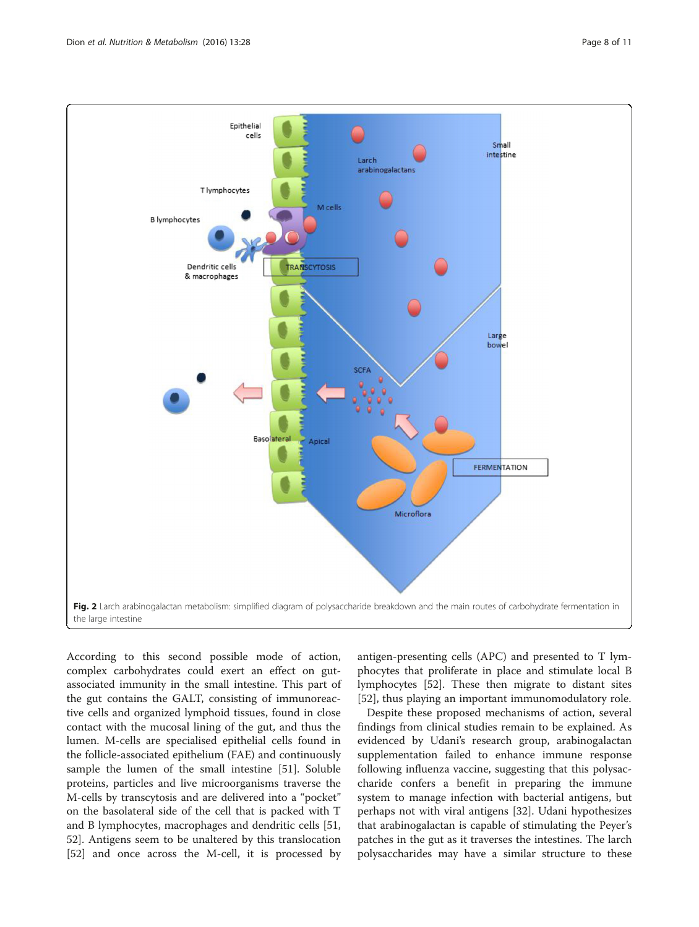<span id="page-7-0"></span>

According to this second possible mode of action, complex carbohydrates could exert an effect on gutassociated immunity in the small intestine. This part of the gut contains the GALT, consisting of immunoreactive cells and organized lymphoid tissues, found in close contact with the mucosal lining of the gut, and thus the lumen. M-cells are specialised epithelial cells found in the follicle-associated epithelium (FAE) and continuously sample the lumen of the small intestine [\[51\]](#page-10-0). Soluble proteins, particles and live microorganisms traverse the M-cells by transcytosis and are delivered into a "pocket" on the basolateral side of the cell that is packed with T and B lymphocytes, macrophages and dendritic cells [[51](#page-10-0), [52\]](#page-10-0). Antigens seem to be unaltered by this translocation [[52\]](#page-10-0) and once across the M-cell, it is processed by

antigen-presenting cells (APC) and presented to T lymphocytes that proliferate in place and stimulate local B lymphocytes [\[52\]](#page-10-0). These then migrate to distant sites [[52\]](#page-10-0), thus playing an important immunomodulatory role.

Despite these proposed mechanisms of action, several findings from clinical studies remain to be explained. As evidenced by Udani's research group, arabinogalactan supplementation failed to enhance immune response following influenza vaccine, suggesting that this polysaccharide confers a benefit in preparing the immune system to manage infection with bacterial antigens, but perhaps not with viral antigens [\[32\]](#page-9-0). Udani hypothesizes that arabinogalactan is capable of stimulating the Peyer's patches in the gut as it traverses the intestines. The larch polysaccharides may have a similar structure to these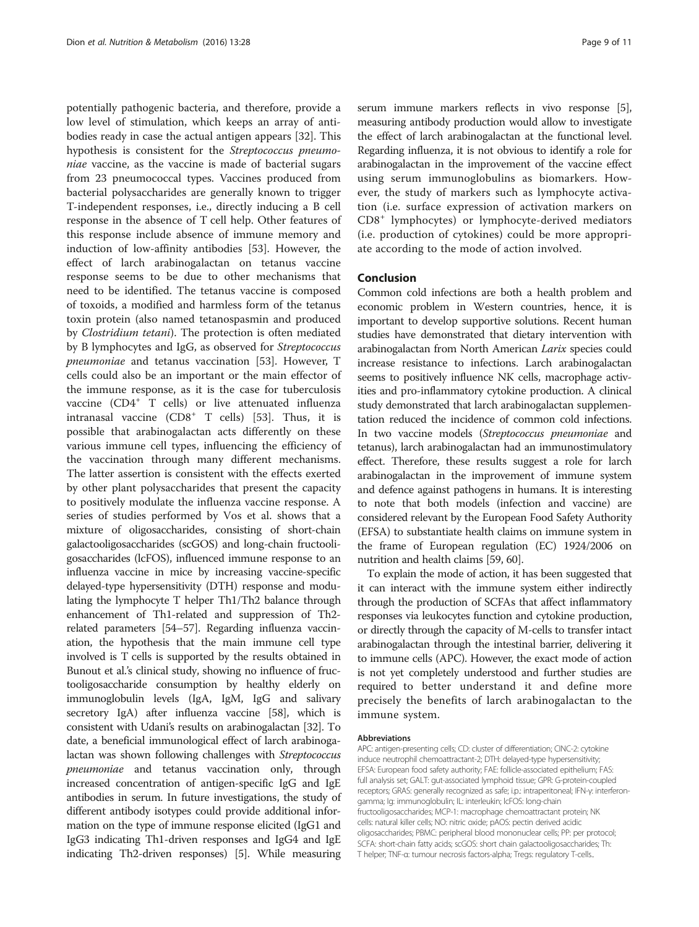potentially pathogenic bacteria, and therefore, provide a low level of stimulation, which keeps an array of antibodies ready in case the actual antigen appears [\[32](#page-9-0)]. This hypothesis is consistent for the Streptococcus pneumoniae vaccine, as the vaccine is made of bacterial sugars from 23 pneumococcal types. Vaccines produced from bacterial polysaccharides are generally known to trigger T-independent responses, i.e., directly inducing a B cell response in the absence of T cell help. Other features of this response include absence of immune memory and induction of low-affinity antibodies [[53\]](#page-10-0). However, the effect of larch arabinogalactan on tetanus vaccine response seems to be due to other mechanisms that need to be identified. The tetanus vaccine is composed of toxoids, a modified and harmless form of the tetanus toxin protein (also named tetanospasmin and produced by Clostridium tetani). The protection is often mediated by B lymphocytes and IgG, as observed for Streptococcus pneumoniae and tetanus vaccination [\[53\]](#page-10-0). However, T cells could also be an important or the main effector of the immune response, as it is the case for tuberculosis vaccine (CD4+ T cells) or live attenuated influenza intranasal vaccine  $(CD8<sup>+</sup> T$  cells) [\[53](#page-10-0)]. Thus, it is possible that arabinogalactan acts differently on these various immune cell types, influencing the efficiency of the vaccination through many different mechanisms. The latter assertion is consistent with the effects exerted by other plant polysaccharides that present the capacity to positively modulate the influenza vaccine response. A series of studies performed by Vos et al. shows that a mixture of oligosaccharides, consisting of short-chain galactooligosaccharides (scGOS) and long-chain fructooligosaccharides (lcFOS), influenced immune response to an influenza vaccine in mice by increasing vaccine-specific delayed-type hypersensitivity (DTH) response and modulating the lymphocyte T helper Th1/Th2 balance through enhancement of Th1-related and suppression of Th2 related parameters [[54](#page-10-0)–[57\]](#page-10-0). Regarding influenza vaccination, the hypothesis that the main immune cell type involved is T cells is supported by the results obtained in Bunout et al.'s clinical study, showing no influence of fructooligosaccharide consumption by healthy elderly on immunoglobulin levels (IgA, IgM, IgG and salivary secretory IgA) after influenza vaccine [[58](#page-10-0)], which is consistent with Udani's results on arabinogalactan [[32](#page-9-0)]. To date, a beneficial immunological effect of larch arabinogalactan was shown following challenges with Streptococcus pneumoniae and tetanus vaccination only, through increased concentration of antigen-specific IgG and IgE antibodies in serum. In future investigations, the study of different antibody isotypes could provide additional information on the type of immune response elicited (IgG1 and IgG3 indicating Th1-driven responses and IgG4 and IgE indicating Th2-driven responses) [\[5\]](#page-9-0). While measuring

serum immune markers reflects in vivo response [[5](#page-9-0)], measuring antibody production would allow to investigate the effect of larch arabinogalactan at the functional level. Regarding influenza, it is not obvious to identify a role for arabinogalactan in the improvement of the vaccine effect using serum immunoglobulins as biomarkers. However, the study of markers such as lymphocyte activation (i.e. surface expression of activation markers on CD8<sup>+</sup> lymphocytes) or lymphocyte-derived mediators (i.e. production of cytokines) could be more appropriate according to the mode of action involved.

## Conclusion

Common cold infections are both a health problem and economic problem in Western countries, hence, it is important to develop supportive solutions. Recent human studies have demonstrated that dietary intervention with arabinogalactan from North American Larix species could increase resistance to infections. Larch arabinogalactan seems to positively influence NK cells, macrophage activities and pro-inflammatory cytokine production. A clinical study demonstrated that larch arabinogalactan supplementation reduced the incidence of common cold infections. In two vaccine models (Streptococcus pneumoniae and tetanus), larch arabinogalactan had an immunostimulatory effect. Therefore, these results suggest a role for larch arabinogalactan in the improvement of immune system and defence against pathogens in humans. It is interesting to note that both models (infection and vaccine) are considered relevant by the European Food Safety Authority (EFSA) to substantiate health claims on immune system in the frame of European regulation (EC) 1924/2006 on nutrition and health claims [\[59, 60](#page-10-0)].

To explain the mode of action, it has been suggested that it can interact with the immune system either indirectly through the production of SCFAs that affect inflammatory responses via leukocytes function and cytokine production, or directly through the capacity of M-cells to transfer intact arabinogalactan through the intestinal barrier, delivering it to immune cells (APC). However, the exact mode of action is not yet completely understood and further studies are required to better understand it and define more precisely the benefits of larch arabinogalactan to the immune system.

## Abbreviations

APC: antigen-presenting cells; CD: cluster of differentiation; CINC-2: cytokine induce neutrophil chemoattractant-2; DTH: delayed-type hypersensitivity; EFSA: European food safety authority; FAE: follicle-associated epithelium; FAS: full analysis set; GALT: gut-associated lymphoid tissue; GPR: G-protein-coupled receptors; GRAS: generally recognized as safe; i.p.: intraperitoneal; IFN-γ: interferongamma; Ig: immunoglobulin; IL: interleukin; lcFOS: long-chain fructooligosaccharides; MCP-1: macrophage chemoattractant protein; NK cells: natural killer cells; NO: nitric oxide; pAOS: pectin derived acidic oligosaccharides; PBMC: peripheral blood mononuclear cells; PP: per protocol; SCFA: short-chain fatty acids; scGOS: short chain galactooligosaccharides; Th: T helper; TNF-α: tumour necrosis factors-alpha; Tregs: regulatory T-cells..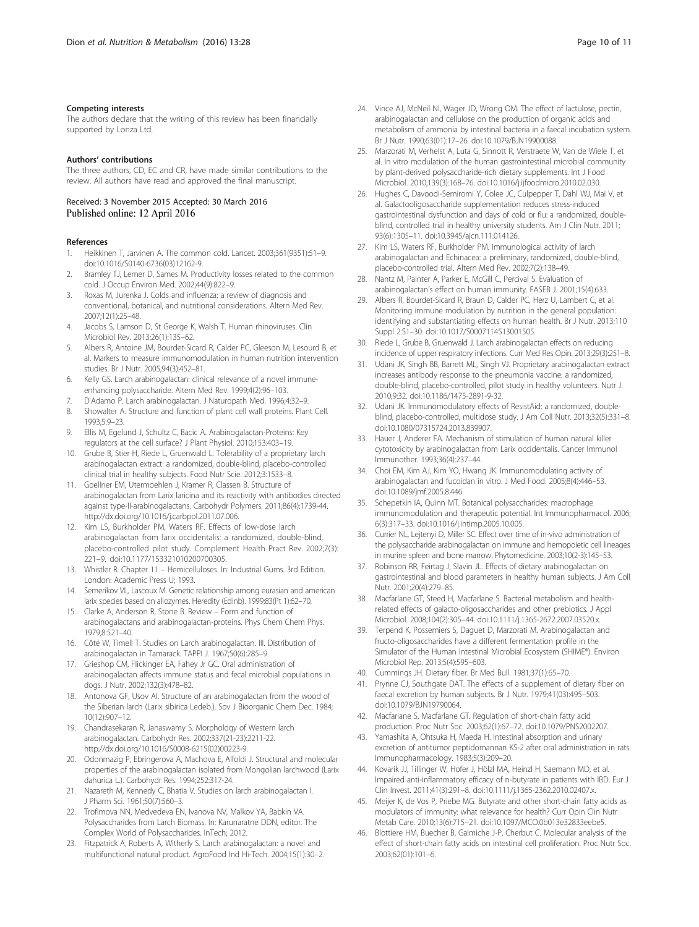#### <span id="page-9-0"></span>Competing interests

The authors declare that the writing of this review has been financially supported by Lonza Ltd.

#### Authors' contributions

The three authors, CD, EC and CR, have made similar contributions to the review. All authors have read and approved the final manuscript.

#### Received: 3 November 2015 Accepted: 30 March 2016 Published online: 12 April 2016

#### References

- 1. Heikkinen T, Jarvinen A. The common cold. Lancet. 2003;361(9351):51–9. doi[:10.1016/S0140-6736\(03\)12162-9.](http://dx.doi.org/10.1016/S0140-6736(03)12162-9)
- 2. Bramley TJ, Lerner D, Sames M. Productivity losses related to the common cold. J Occup Environ Med. 2002;44(9):822–9.
- 3. Roxas M, Jurenka J. Colds and influenza: a review of diagnosis and conventional, botanical, and nutritional considerations. Altern Med Rev. 2007;12(1):25–48.
- Jacobs S, Lamson D, St George K, Walsh T. Human rhinoviruses. Clin Microbiol Rev. 2013;26(1):135–62.
- 5. Albers R, Antoine JM, Bourdet-Sicard R, Calder PC, Gleeson M, Lesourd B, et al. Markers to measure immunomodulation in human nutrition intervention studies. Br J Nutr. 2005;94(3):452–81.
- 6. Kelly GS. Larch arabinogalactan: clinical relevance of a novel immuneenhancing polysaccharide. Altern Med Rev. 1999;4(2):96–103.
- 7. D'Adamo P. Larch arabinogalactan. J Naturopath Med. 1996;4:32–9.
- 8. Showalter A. Structure and function of plant cell wall proteins. Plant Cell. 1993;5:9–23.
- 9. Ellis M, Egelund J, Schultz C, Bacic A. Arabinogalactan-Proteins: Key regulators at the cell surface? J Plant Physiol. 2010;153:403–19.
- 10. Grube B, Stier H, Riede L, Gruenwald L. Tolerability of a proprietary larch arabinogalactan extract: a randomized, double-blind, placebo-controlled clinical trial in healthy subjects. Food Nutr Scie. 2012;3:1533–8.
- 11. Goellner EM, Utermoehlen J, Kramer R, Classen B. Structure of arabinogalactan from Larix laricina and its reactivity with antibodies directed against type-II-arabinogalactans. Carbohydr Polymers. 2011;86(4):1739-44. [http://dx.doi.org/10.1016/j.carbpol.2011.07.006.](http://dx.doi.org/10.1016/j.carbpol.2011.07.006)
- 12. Kim LS, Burkholder PM, Waters RF. Effects of low-dose larch arabinogalactan from larix occidentalis: a randomized, double-blind, placebo-controlled pilot study. Complement Health Pract Rev. 2002;7(3): 221–9. doi[:10.1177/153321010200700305.](http://dx.doi.org/10.1177/153321010200700305)
- 13. Whistler R. Chapter 11 Hemicelluloses. In: Industrial Gums. 3rd Edition. London: Academic Press U; 1993.
- 14. Semerikov VL, Lascoux M. Genetic relationship among eurasian and american larix species based on allozymes. Heredity (Edinb). 1999;83(Pt 1):62–70.
- 15. Clarke A, Anderson R, Stone B. Review Form and function of arabinogalactans and arabinogalactan-proteins. Phys Chem Chem Phys. 1979;8:521–40.
- 16. Côté W, Timell T. Studies on Larch arabinogalactan. III. Distribution of arabinogalactan in Tamarack. TAPPI J. 1967;50(6):285–9.
- 17. Grieshop CM, Flickinger EA, Fahey Jr GC. Oral administration of arabinogalactan affects immune status and fecal microbial populations in dogs. J Nutr. 2002;132(3):478–82.
- 18. Antonova GF, Usov AI. Structure of an arabinogalactan from the wood of the Siberian larch (Larix sibirica Ledeb.). Sov J Bioorganic Chem Dec. 1984; 10(12):907–12.
- 19. Chandrasekaran R, Janaswamy S. Morphology of Western larch arabinogalactan. Carbohydr Res. 2002;337(21-23):2211-22. [http://dx.doi.org/10.1016/S0008-6215\(02\)00223-9](http://dx.doi.org/10.1016/S0008-6215(02)00223-9).
- 20. Odonmazig P, Ebringerova A, Machova E, Alfoldi J. Structural and molecular properties of the arabinogalactan isolated from Mongolian larchwood (Larix dahurica L.). Carbohydr Res. 1994;252:317-24.
- 21. Nazareth M, Kennedy C, Bhatia V. Studies on larch arabinogalactan I. J Pharm Sci. 1961;50(7):560–3.
- 22. Trofimova NN, Medvedeva EN, Ivanova NV, Malkov YA, Babkin VA. Polysaccharides from Larch Biomass. In: Karunaratne DDN, editor. The Complex World of Polysaccharides. InTech; 2012.
- 23. Fitzpatrick A, Roberts A, Witherly S. Larch arabinogalactan: a novel and multifunctional natural product. AgroFood Ind Hi-Tech. 2004;15(1):30–2.
- 24. Vince AJ, McNeil NI, Wager JD, Wrong OM. The effect of lactulose, pectin, arabinogalactan and cellulose on the production of organic acids and metabolism of ammonia by intestinal bacteria in a faecal incubation system. Br J Nutr. 1990;63(01):17–26. doi[:10.1079/BJN19900088](http://dx.doi.org/10.1079/BJN19900088).
- 25. Marzorati M, Verhelst A, Luta G, Sinnott R, Verstraete W, Van de Wiele T, et al. In vitro modulation of the human gastrointestinal microbial community by plant-derived polysaccharide-rich dietary supplements. Int J Food Microbiol. 2010;139(3):168–76. doi[:10.1016/j.ijfoodmicro.2010.02.030.](http://dx.doi.org/10.1016/j.ijfoodmicro.2010.02.030)
- 26. Hughes C, Davoodi-Semiromi Y, Colee JC, Culpepper T, Dahl WJ, Mai V, et al. Galactooligosaccharide supplementation reduces stress-induced gastrointestinal dysfunction and days of cold or flu: a randomized, doubleblind, controlled trial in healthy university students. Am J Clin Nutr. 2011; 93(6):1305–11. doi:[10.3945/ajcn.111.014126](http://dx.doi.org/10.3945/ajcn.111.014126).
- 27. Kim LS, Waters RF, Burkholder PM. Immunological activity of larch arabinogalactan and Echinacea: a preliminary, randomized, double-blind, placebo-controlled trial. Altern Med Rev. 2002;7(2):138–49.
- 28. Nantz M, Painter A, Parker E, McGill C, Percival S. Evaluation of arabinogalactan's effect on human immunity. FASEB J. 2001;15(4):633.
- 29. Albers R, Bourdet-Sicard R, Braun D, Calder PC, Herz U, Lambert C, et al. Monitoring immune modulation by nutrition in the general population: identifying and substantiating effects on human health. Br J Nutr. 2013;110 Suppl 2:S1–30. doi[:10.1017/S0007114513001505](http://dx.doi.org/10.1017/S0007114513001505).
- 30. Riede L, Grube B, Gruenwald J. Larch arabinogalactan effects on reducing incidence of upper respiratory infections. Curr Med Res Opin. 2013;29(3):251–8.
- 31. Udani JK, Singh BB, Barrett ML, Singh VJ. Proprietary arabinogalactan extract increases antibody response to the pneumonia vaccine: a randomized, double-blind, placebo-controlled, pilot study in healthy volunteers. Nutr J. 2010;9:32. doi:[10.1186/1475-2891-9-32.](http://dx.doi.org/10.1186/1475-2891-9-32)
- 32. Udani JK. Immunomodulatory effects of ResistAid: a randomized, doubleblind, placebo-controlled, multidose study. J Am Coll Nutr. 2013;32(5):331–8. doi[:10.1080/07315724.2013.839907.](http://dx.doi.org/10.1080/07315724.2013.839907)
- 33. Hauer J, Anderer FA. Mechanism of stimulation of human natural killer cytotoxicity by arabinogalactan from Larix occidentalis. Cancer Immunol Immunother. 1993;36(4):237–44.
- 34. Choi EM, Kim AJ, Kim YO, Hwang JK. Immunomodulating activity of arabinogalactan and fucoidan in vitro. J Med Food. 2005;8(4):446–53. doi[:10.1089/jmf.2005.8.446](http://dx.doi.org/10.1089/jmf.2005.8.446).
- 35. Schepetkin IA, Quinn MT. Botanical polysaccharides: macrophage immunomodulation and therapeutic potential. Int Immunopharmacol. 2006; 6(3):317–33. doi:[10.1016/j.intimp.2005.10.005](http://dx.doi.org/10.1016/j.intimp.2005.10.005).
- 36. Currier NL, Lejtenyi D, Miller SC. Effect over time of in-vivo administration of the polysaccharide arabinogalactan on immune and hemopoietic cell lineages in murine spleen and bone marrow. Phytomedicine. 2003;10(2-3):145–53.
- 37. Robinson RR, Feirtag J, Slavin JL. Effects of dietary arabinogalactan on gastrointestinal and blood parameters in healthy human subjects. J Am Coll Nutr. 2001;20(4):279–85.
- 38. Macfarlane GT, Steed H, Macfarlane S. Bacterial metabolism and healthrelated effects of galacto-oligosaccharides and other prebiotics. J Appl Microbiol. 2008;104(2):305–44. doi[:10.1111/j.1365-2672.2007.03520.x.](http://dx.doi.org/10.1111/j.1365-2672.2007.03520.x)
- 39. Terpend K, Possemiers S, Daguet D, Marzorati M. Arabinogalactan and fructo-oligosaccharides have a different fermentation profile in the Simulator of the Human Intestinal Microbial Ecosystem (SHIME®). Environ Microbiol Rep. 2013;5(4):595–603.
- 40. Cummings JH. Dietary fiber. Br Med Bull. 1981;37(1):65–70.
- 41. Prynne CJ, Southgate DAT. The effects of a supplement of dietary fiber on faecal excretion by human subjects. Br J Nutr. 1979;41(03):495–503. doi[:10.1079/BJN19790064.](http://dx.doi.org/10.1079/BJN19790064)
- 42. Macfarlane S, Macfarlane GT. Regulation of short-chain fatty acid production. Proc Nutr Soc. 2003;62(1):67–72. doi[:10.1079/PNS2002207.](http://dx.doi.org/10.1079/PNS2002207)
- 43. Yamashita A, Ohtsuka H, Maeda H. Intestinal absorption and urinary excretion of antitumor peptidomannan KS-2 after oral administration in rats. Immunopharmacology. 1983;5(3):209–20.
- 44. Kovarik JJ, Tillinger W, Hofer J, Hölzl MA, Heinzl H, Saemann MD, et al. Impaired anti-inflammatory efficacy of n-butyrate in patients with IBD. Eur J Clin Invest. 2011;41(3):291–8. doi[:10.1111/j.1365-2362.2010.02407.x.](http://dx.doi.org/10.1111/j.1365-2362.2010.02407.x)
- 45. Meijer K, de Vos P, Priebe MG. Butyrate and other short-chain fatty acids as modulators of immunity: what relevance for health? Curr Opin Clin Nutr Metab Care. 2010;13(6):715–21. doi[:10.1097/MCO.0b013e32833eebe5](http://dx.doi.org/10.1097/MCO.0b013e32833eebe5).
- 46. Blottiere HM, Buecher B, Galmiche J-P, Cherbut C. Molecular analysis of the effect of short-chain fatty acids on intestinal cell proliferation. Proc Nutr Soc. 2003;62(01):101–6.